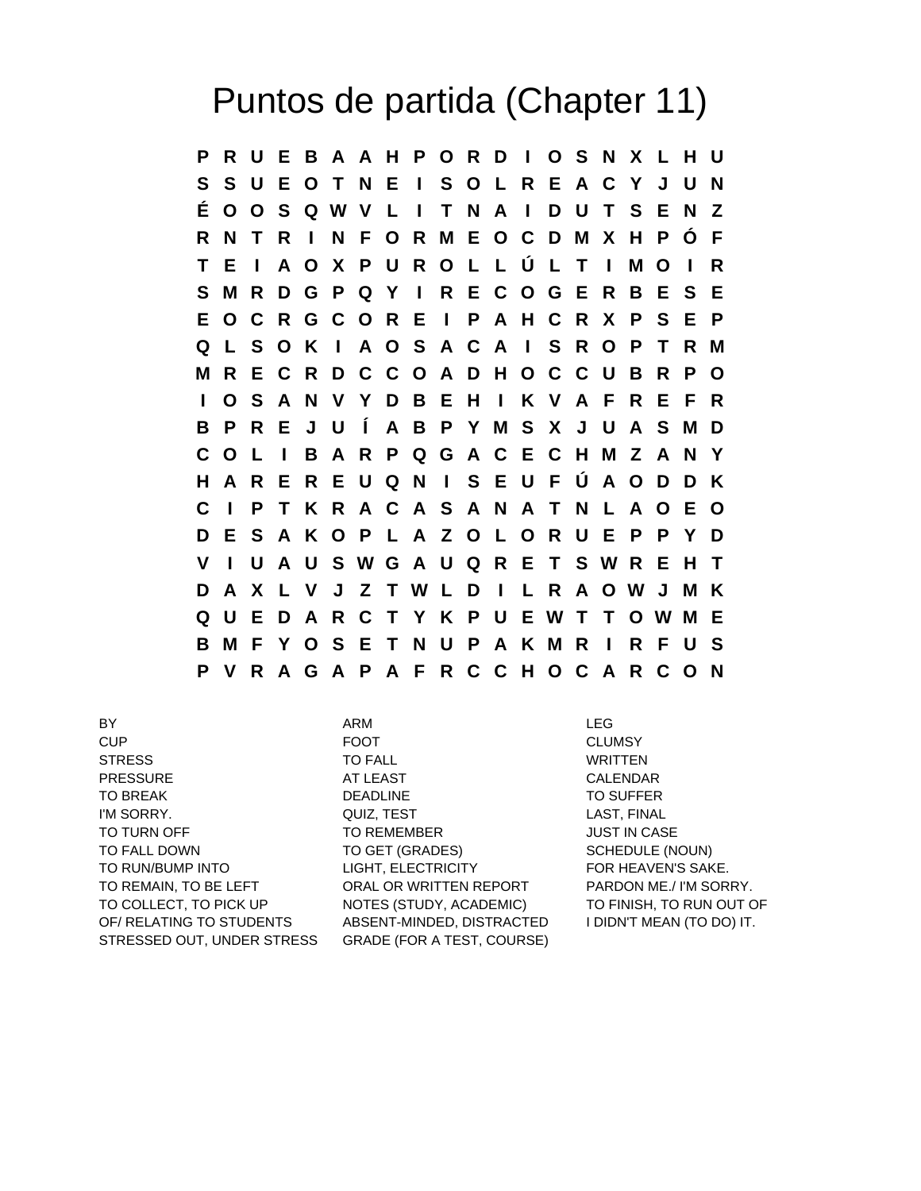## Puntos de partida (Chapter 11)

**P R U E B A A H P O R D I O S N X L H U S S U E O T N E I S O L R E A C Y J U N É O O S Q W V L I T N A I D U T S E N Z R N T R I N F O R M E O C D M X H P Ó F T E I A O X P U R O L L Ú L T I M O I R S M R D G P Q Y I R E C O G E R B E S E E O C R G C O R E I P A H C R X P S E P Q L S O K I A O S A C A I S R O P T R M M R E C R D C C O A D H O C C U B R P O I O S A N V Y D B E H I K V A F R E F R B P R E J U Í A B P Y M S X J U A S M D C O L I B A R P Q G A C E C H M Z A N Y H A R E R E U Q N I S E U F Ú A O D D K C I P T K R A C A S A N A T N L A O E O D E S A K O P L A Z O L O R U E P P Y D V I U A U S W G A U Q R E T S W R E H T D A X L V J Z T W L D I L R A O W J M K Q U E D A R C T Y K P U E W T T O W M E B M F Y O S E T N U P A K M R I R F U S P V R A G A P A F R C C H O C A R C O N**

BY REGULAR SERVICES ARM ARM AND LEG CUP FOOT CLUMSY STRESS TO FALL TO THE WRITTEN PRESSURE AT LEAST AND AT LEAST CALENDAR TO BREAK DEADLINE DEADLINE TO SUFFER I'M SORRY. QUIZ, TEST LAST, FINAL TO TURN OFF TO REMEMBER TO TURN OFF TO REMEMBER TO FALL DOWN TO GET (GRADES) SCHEDULE (NOUN) TO RUN/BUMP INTO LIGHT, ELECTRICITY FOR HEAVEN'S SAKE. TO REMAIN, TO BE LEFT ORAL OR WRITTEN REPORT PARDON ME./ I'M SORRY. TO COLLECT, TO PICK UP NOTES (STUDY, ACADEMIC) TO FINISH, TO RUN OUT OF OF/ RELATING TO STUDENTS ABSENT-MINDED, DISTRACTED I DIDN'T MEAN (TO DO) IT. STRESSED OUT, UNDER STRESS GRADE (FOR A TEST, COURSE)